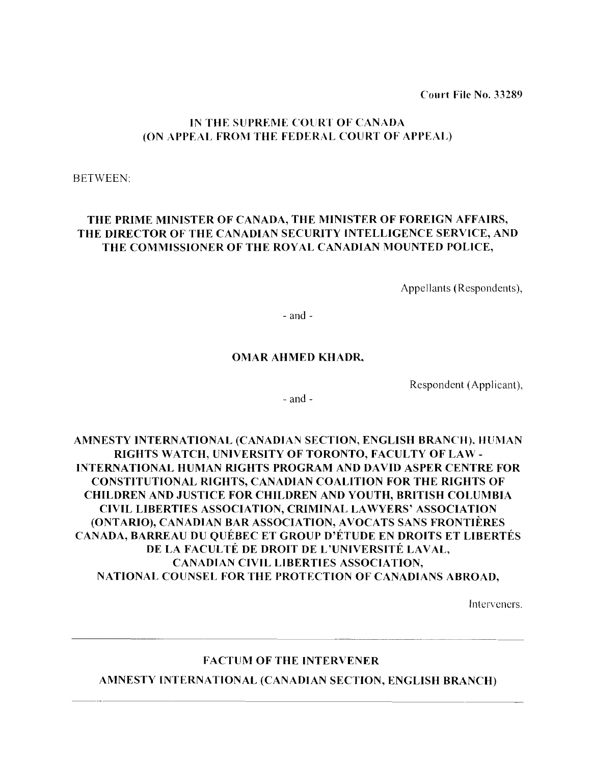Court File No. 33289

## IN THE SUPREME COURT OF CANADA (ON APPEAL FROM THE FEDERAL COURT OF APPEAL)

BETWEEN:

# THE PRIME MINISTER OF CANADA, THE MINISTER OF FOREIGN AFFAIRS, THE DIRECTOR OF THE CANADIAN SECURITY INTELLIGENCE SERVICE, AND THE COMMISSIONER OF THE ROYAL CANADIAN MOUNTED POLICE,

Appellants (Respondents),

- and

## OMAR AHMED KHADR,

Respondent (Applicant),

 $-$  and  $-$ 

AMNESTY INTERNATIONAL (CANADIAN SECTION, ENGLISH BRANCH). HUMAN RIGHTS WATCH, UNIVERSITY OF TORONTO, FACULTY OF LAW INTERNATIONAL HUMAN RIGHTS PROGRAM AND DAVID ASPER CENTRE FOR CONSTITUTIONAL RIGHTS, CANADIAN COALITION FOR THE RIGHTS OF CHILDREN AND JUSTICE FOR CHILDREN AND YOUTH, BRITISH COLUMBIA CIVIL LIBERTIES ASSOCIATION, CRIMINAL LAWYERS' ASSOCIATION (ONTARIO), CANADIAN BAR ASSOCIATION, AVOCATS SANS FRONTIERES CANADA, BARREAU DU QUEBEC ET GROUP D'ETUDE EN DROITS ET LIBERTES DE LA FACULTÉ DE DROIT DE L'UNIVERSITÉ LAVAL, CANADIAN CIVIL LIBERTIES ASSOCIATION, NATIONAL COUNSEL FOR THE PROTECTION OF CANADIANS ABROAD,

Interveners.

## FACTUM OF THE INTERVENER

AMNESTY INTERNATIONAL (CANADIAN SECTION, ENGLISH BRANCH)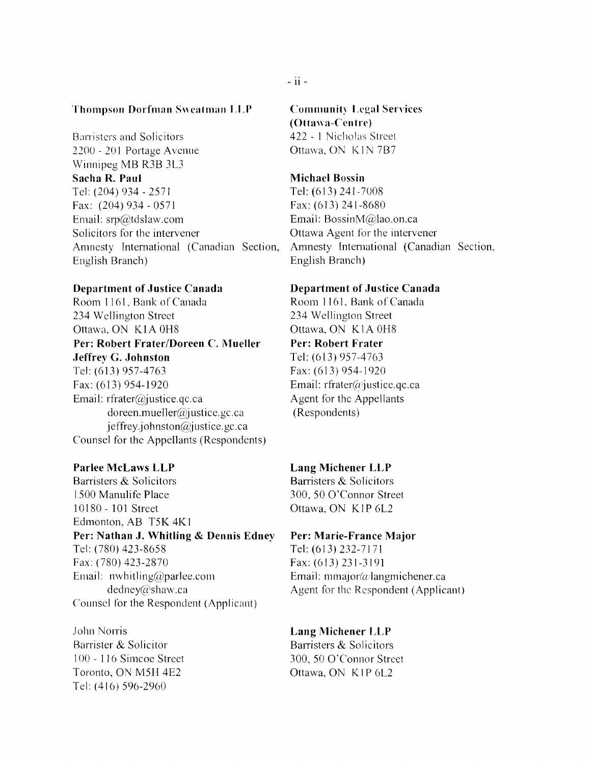## **Thompson Dorfman Sweatman LLP**

Barristers and Solicitors 2200 - 201 Portage Avenue Winnipeg MB R3B 3L3 **Sacha R. Paul**  Tel: (204) 934 - 2571 Fax: (204) 934 - 0571 Email: srp@tdsJaw.com Solicitors for the intervener Amnesty Intemational (Canadian Section, English Branch)

### **Department of Justice Canada**

Room 1161, Bank of Canada 234 Wellington Street Ottawa, ON KIA OH8 **Per: Robert Frater/Doreen C. Mueller Jeffrey G. Johnston**  Tel: (613) 957-4763 Fax: (613) 954-1920 Email: rfrater@justice.qc.ca doreen.mueller@justice.gc.ca j effrey.johnston@justice.gc.ca Counsel for the Appellants (Respondents)

### **Parlee McLaws LLP**

Barristers & Solicitors 1500 Manulife Place 10180 - 101 Street Edmonton, AB T5K 4K 1 **Per: Nathan J. Whitling & Dennis Edney**  Tel: (780) 423-8658 Fax: (780) 423-2870 Email: nwhitling@parlee.com dedney@shaw.ca Counsel for the Respondent (Applicant)

John Norris Barrister & Solicitor 100 - I 16 Simcoe Street Toronto, ON M5H 4E2 Tel: (4 16) 596-2960

Communit~ **Legal Services (Ottawa-Cen trc)**  422 - I Nicholas Street

Ottawa, ON K1N 7B7

### **Michael Bossin**

Tel: (613) 241-7008 Fax: (613) 241-8680 Email: BossinM@lao.on.ca Ottawa Agent for the intervener Amnesty Intemational (Canadian Section, English Branch)

### **Department of Justice Canada**

Room I 161, Bank of Canada 234 Wellington Street Ottawa, ON K 1A OH8 **Per: Robert Frater**  Tel: (613) 957-4763 Fax: (613) 954-1920 Email:  $rfrater(\omega)$ justice.qc.ca Agent for the Appellants (Respondents)

### **Lang Michener LLP**

Barristers & Solicitors 300, 50 O'Connor Street Ottawa, ON KIP 6L2

### **Per: Marie-France Major**

Tel: (613) 232-7171 Fax: (613) 231-3191 Email: mmajor( $\omega$ langmichener.ca Agent for the Respondent (Applicant)

### **Lang Michener LLP**

Barristers & Solicitors 300, 50 O'Connor Street Ottawa, ON KIP 6L2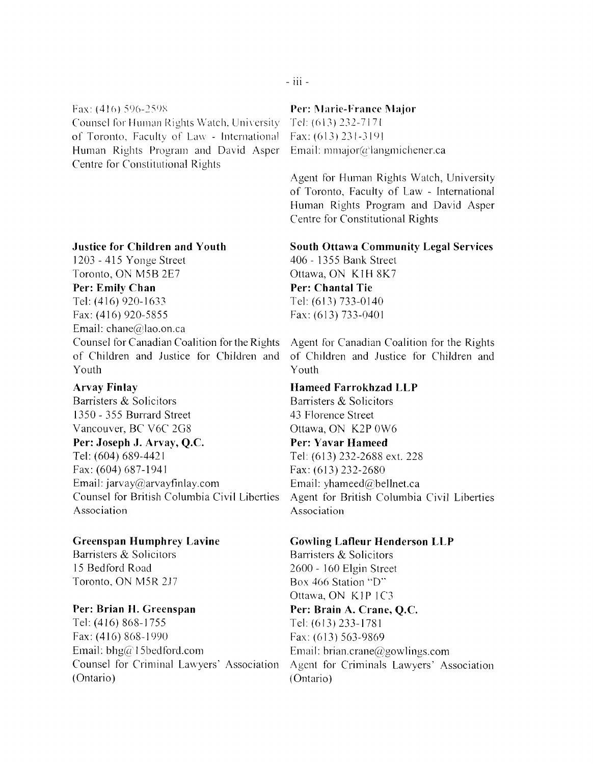Fax:  $(416)$  596-2598 Counsel for Human Rights Watch, University of Toronto. Faculty of Law - Internationa] Human Rights Program and David Asper Centre for Constitutional Rights

### **Justice for Children and Youth**

1203 - 415 Yonge Street Toronto, ON M5B 2E7 **Per: Emily Chan**  Tel: (416) 920-1633 Fax: (416) 920-5855 Email: chane@lao.on.ca Counsel for Canadian Coalition for the Rights of Children and Justice for Children and Youth

### **Arvay Finlay**

Barristers & Solicitors 1350 - 355 Burrard Street Vancouver, BC V6C 2G8

**Per: Joseph J. Arvay, Q.c.**  Tel: (604) 689-4421 Fax: (604) 687-1941 Email: jarvay@arvayfinlay.com Counsel for British Columbia Civil Liberties Association

### **Greenspan Humphrey Lavine**

Barristers & Solicitors 15 Bedford Road Toronto. ON M5R 2.17

### **Per: Brian H. Greenspan**

Tel: (416) 868-1755 Fax:  $(416) 868 - 1990$ Email: bhg $\widehat{a}$ 15bedford.com Counsel for Criminal Lawyers' Association (Ontario)

### **Per: I\larie-France Major**

Tel: (613) 232-7171 Fax: (613) 231-3191 Email: mmajor( $a$ 'langmichener.ca

Agent for Human Rights Watch, University of Toronto. Faculty of Law - International Human Rights Program and David Asper Centre for Constitutional Rights

### **South Ottawa Community Legal Services**

406 - 1355 Bank Street Ottawa, ON K 1H 8K7 **Per: Chantal Tie**  Tel: (613) 733-0140 Fax: (613) 733-0401

Agent for Canadian Coalition for the Rights of Children and Justice for Children and Youth

### **Hameed Farrokhzad LLP**

Barristers & Solicitors 43 Florence Street Ottawa, ON K2P OW6

### **Per: Yavar Hameed**

Tel: (613) 232-2688 ext. 228 Fax: (613) 232-2680 Emai1: yhameed@hellnet.ca Agent for British Columbia Civil Liberties Association

### **Gowling Lafleur Henderson LLP**

Barristers & Solicitors 2600 - 160 Elgin Street Box 466 Station "D" Ottawa, ON KIP 1C3 **Per: Brain A. Crane, Q.c.**  Tel: (613) 233-1781 Fax: (613) 563-9869 Email: brian.crane@gowlings.com Agcnt for Criminals Lawyers' Association (Ontario)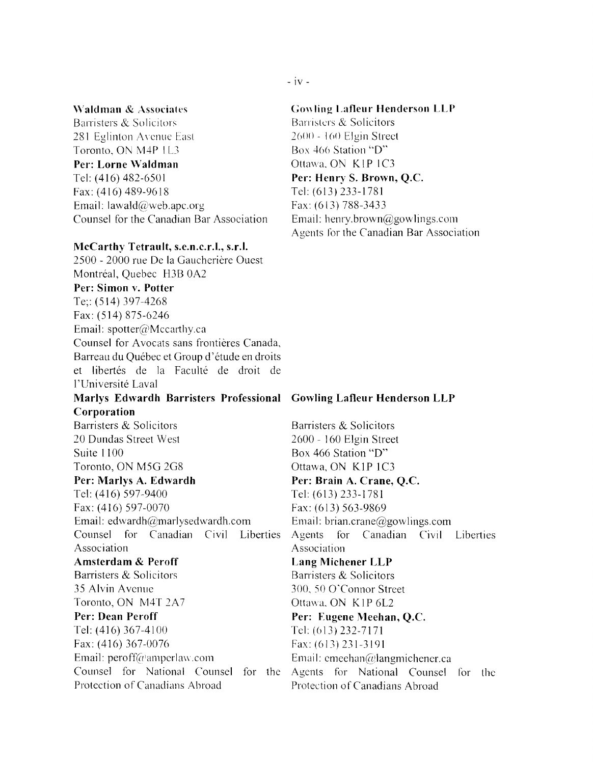### \Yaldman & Associates

Barristers & Solicitors 281 Eglinton Ayenue East Toronto, ON M4P 1L3 Per: Lorne Waldman Tel: (416) 482-6501 Fax: (416) 489-9618 Email: lawa1d@web.apc.org Counsel for the Canadian Bar Association

### McCarthy Tetrault, s.e.n.c.r.l., s.r.I.

2500 - 2000 rue De la Gaucherière Ouest Montréal, Quebec H3B 0A2 Per: Simon v. Potter Te;: (514) 397-4268 Fax: (514) 875-6246 Email: spotter@Mccarthy.ca Counsel for Avocats sans frontières Canada, Barreau du Québec et Group d'étude en droits et libertés de la Faculté de droit de l'Universite Laval Marlys Edwardh Barristers Professional Cowling Lafleur Henderson LLP Corporation Barristers & Solicitors 20 Dundas Street West Suite 1100 Toronto, ON M5G 2G8 Per: Marlys A. Edwardh Tel: (416) 597-9400 Fax: (416) 597-0070 Email: edwardh@marlyseclwardh.com Counsel for Canadian Civil Liberties Association Amsterdam & Peroff Barristers & Solicitors 35 Alvin Avenue Toronto, ON M4T 2A7 Per: Dean Peroff

Tel: (416) 367-4100 Fax: (416) 367-0076 Email:  $\text{peroff}(a)$ amperlaw.com Counsel for National Counsel for the Protection of Canadians Abroad

### $-$  iv  $-$

### Gowling Lafleur Henderson LLP

Barristers & Solicitors  $2600 - 160$  Elgin Street Box 466 Station "D" Ottawa. ON KIP IC3 Per: Henry S. Brown, Q.c. Tel: (613)233-1781 Fax: (613) 788-3433 Email: henry.brown@gowlings.com Agents for the Canadian Bar Association

Barristers & Solicitors 2600 - 160 Elgin Street Box 466 Station "D" Ottawa, ON KIP 1C3 Per: Brain A. Crane, Q.c. Tel: (613) 233-1781 Fax: (613) 563-9869 Email: brian.crane@gowlings.com Agents for Canadian Civil Liberties Association Lang Michener LLP Barristers & Solicitors 300. 50 O'Connor Street Ottawa. ON KIP 6L2 Per: Eugene Meehan, Q.C. Tel: (613) 232-7171 Fax: (613) 231-3191 Email: emeehan $@$ langmichener.ca Agents for National Counsel for the Protection of Canadians Abroad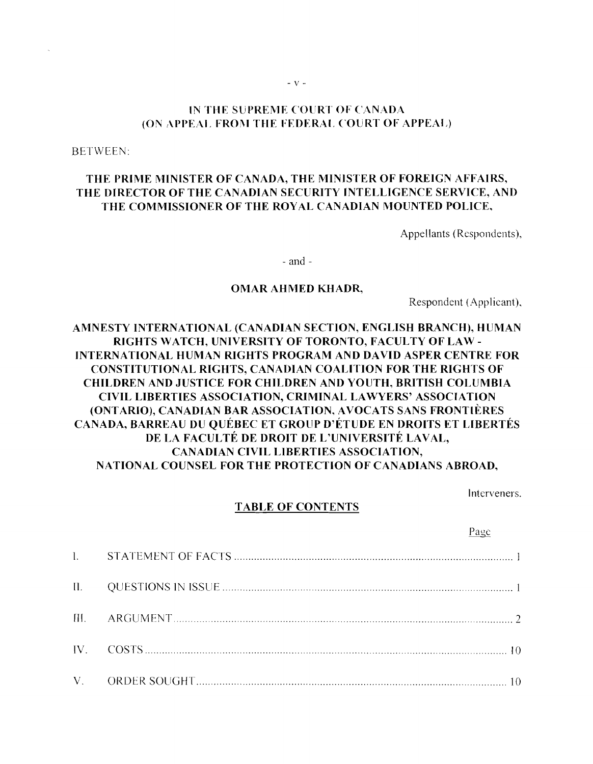### IN THE SUPREME COURT OF CANADA (ON APPEAL FROM THE FEDERAL COURT OF APPEAL)

BETWEEN:

# THE PRIME MINISTER OF CANADA, THE MINISTER OF FOREIGN AFFAIRS, THE DIRECTOR OF THE CANADIAN SECURITY INTELLIGENCE SERVICE, AND THE COMMISSIONER OF THE ROYAL CANADIAN MOUNTED POLICE.

Appellants (Respondents),

- and-

### OMAR AHMED KHADR,

Respondent (Applicant),

# AMNESTY INTERNATIONAL (CANADIAN SECTION. ENGLISH BRANCH), HUMAN RIGHTS WATCH, UNIVERSITY OF TORONTO, FACULTY OF LAW INTERNATIONAL HUMAN RIGHTS PROGRAM AND DAVID ASPER CENTRE FOR CONSTITUTIONAL RIGHTS, CANADIAN COALITION FOR THE RIGHTS OF CHILDREN AND JUSTICE FOR CHILDREN AND YOUTH. BRITISH COLUMBIA CIVIL LIBERTIES ASSOCIATION, CRIMINAL LAWYERS' ASSOCIATION (ONTARlO), CANADIAN BAR ASSOCIATION. AVOCATS SANS FRONTIERES CANADA, BARREAU DU QUEBEC ET GROUP D'ETUDE EN DROITS ET LIBERTES DE LA FACULTÉ DE DROIT DE L'UNIVERSITÉ LAVAL, CANADIAN CIVIL LIBERTIES ASSOCIATION, NATIONAL COUNSEL FOR THE PROTECTION OF CANADIANS ABROAD.

Interveners.

### TABLE OF CONTENTS

Page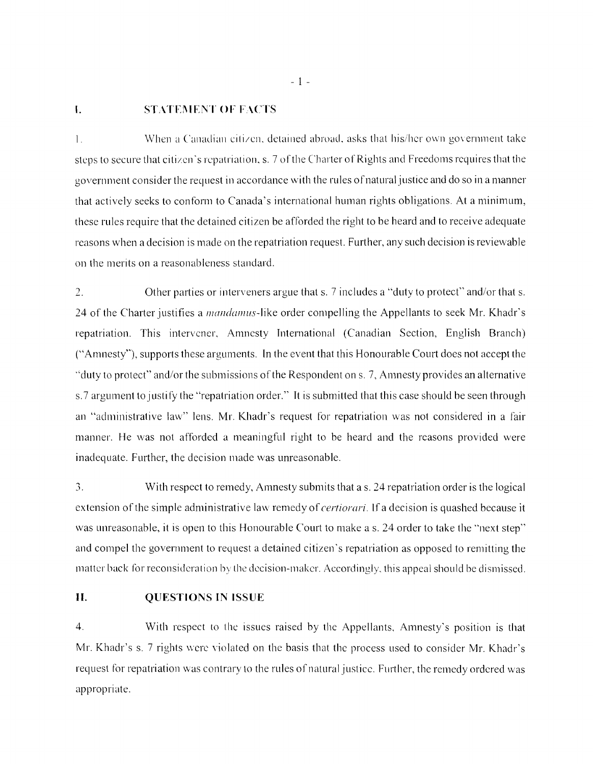### I. STATEMENT OF FACTS

1. When a Canadian citizen, detained abroad, asks that his/her own government take steps to secure that citizen's repatriation, s. 7 of the Charter of Rights and Freedoms requires that the government consider the request in accordance with the rules ofnatural justice and do so in a manner that actively seeks to conform to Canada's international human rights obligations. At a minimum, these rules require that the detained citizen be afforded the right to be heard and to receive adequate reasons when a decision is made on the repatriation request. Further, any such decision is reviewable on the merits on a reasonableness standard.

2. Other parties or interveners argue that s. 7 includes a "duty to protect" and/or that s. 24 of the Charter justifies a *mandamus*-like order compelling the Appellants to seek Mr. Khadr's repatriation. This intervener, Amnesty International (Canadian Section, English Branch) ("Amnesty"), supports these arguments. In the event that this Honourable Court does not accept the "duty to protect" and/or the submissions of the Respondent on s. 7, Amnesty provides an alternative s.7 argument to justify the "repatriation order." It is submitted that this case should be seen through an "administrative law" lens. Mr. Khadr's request for repatriation was not considered in a fair manner. He was not afforded a meaningful right to be heard and the reasons provided were inadequate. Further, the decision made was unreasonable.

 $\overline{3}$ . With respect to remedy, Amnesty submits that a s. 24 repatriation order is the logical extension ofthe simple administrative law remedy of *certiorari.* If a decision is quashed because it was unreasonable, it is open to this Honourable Court to make a s. 24 order to take the "next step" and compel the government to request a detained citizen's repatriation as opposed to remitting the matter back for reconsideration by the decision-maker. Accordingly, this appeal should be dismissed.

### **II. QUESTIONS IN ISSUE**

4. With respect to the issues raised by the Appellants, Amnesty's position is that Mr. Khadr's s. 7 rights were violated on the basis that the process used to consider Mr. Khadr's request for repatriation was contrary to the rules of natural justice. Further, the remedy ordered was appropriate.

- 1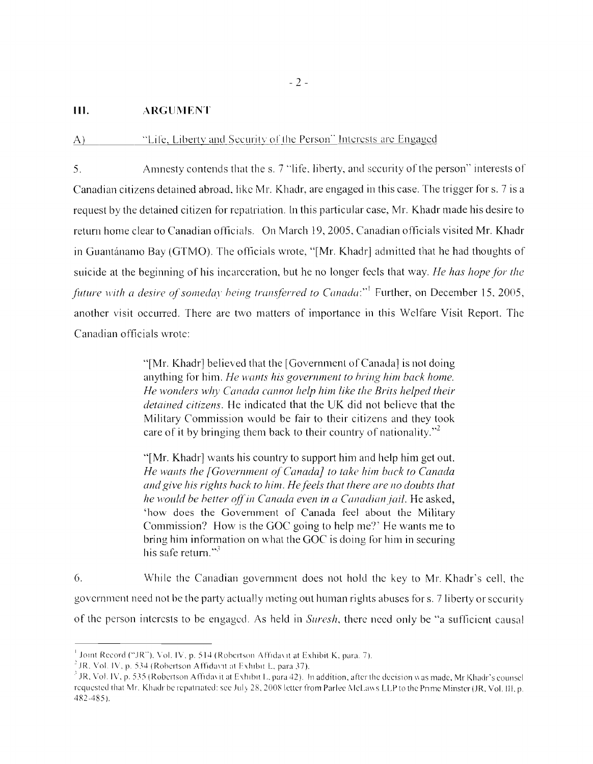### **III.** ARGUMENT

### "Life, Liberty and Security of the Person" Interests are Engaged  $A)$

5. Amnesty contends that the s. 7 "life, liberty, and security of the person" interests of Canadian citizens detained abroad, like Mr. Khadr, are engaged in this case. The trigger for s. 7 is a request by the detained citizen for repatriation. [n this particular case, Mr. Khadr made his desire to return home clear to Canadian officials. On March 19,2005, Canadian officials visited Mr. Khadr in Guantánamo Bay (GTMO). The officials wrote, "[Mr. Khadr] admitted that he had thoughts of suicide at the beginning of his incarceration, but he no longer feels that way. *He has hope for the future with a desire of someday being transferred to Canada:*"<sup>1</sup> Further, on December 15, 2005, another visit occurred. There are two matters of importance in this Welfare Visit Report. The Canadian officials wrote:

> "[Mr. Khadr] believed that the [Government of Canada] is not doing anything for him. *He wants his government to bring him back home. He wonders why Canada cannot help him like the Brits helped their detained citizens.* He indicated that the UK did not believe that the Military Commission would be fair to their citizens and they took care of it by bringing them back to their country of nationality. $v^2$

> ·'[Mr. Khadr] wants his country to support him and help him get out. *He wants the [Government of Canada] to take him back to Canada and give his rights hock to him. He feels that there are no doubts that he would be better off in Canada even in a Canadian jail.* He asked, 'how does the Government of Canada feel about the Military Commission? How is the GOC going to help me?' He wants me to bring him information on what the GOC is doing for him in securing his safe return." $^3$

6. While the Canadian government does not hold the key to Mr. Khadr's cell, the government need not be the party actually meting out human rights abuses for s. 7 liberty or security of the person interests to be engaged. As held in *Suresh,* there need only be "a sufficient causal

<sup>&</sup>lt;sup>1</sup> Joint Record ("JR"). Vol. IV. p. 514 (Robertson Affidaxit at Exhibit K. para. 7).

 $^{2}$  JR, Vol. IV, p. 534 (Robertson Affidavit at Exhibit L. para 37).

<sup>&</sup>lt;sup>3</sup> JR, Vol. IV, p. 535 (Robertson Affidavit at Exhibit L. para 42). In addition, after the decision was made, Mr Khadr's counsel requested that Mr. Khadr be repatnated: see July 28, 2008 letter from Parlee McLaws LLP to the Prime Minster (JR, Vol. III, p. 482-485 ).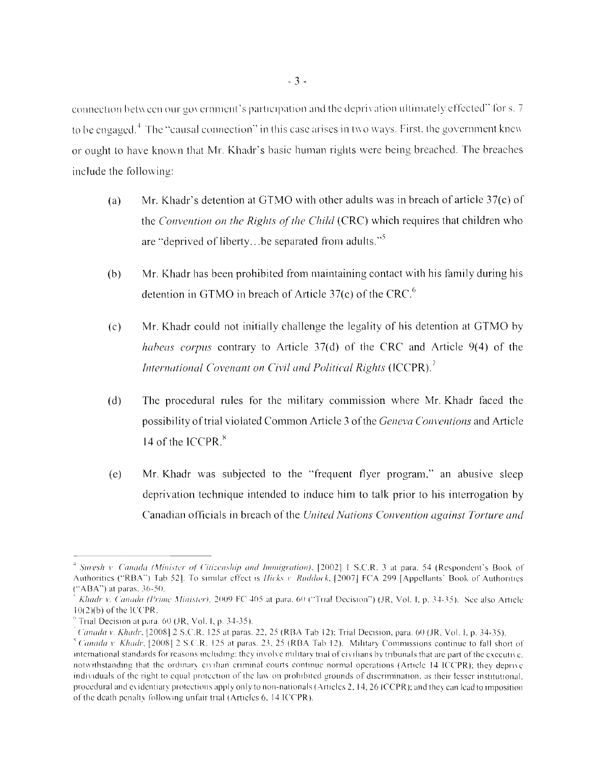connection between our government's participation and the deprivation ultimately effected" for s. 7 to be engaged.<sup>4</sup> The "causal connection" in this case arises in two ways. First, the government knew or ought to have known that Mr. Khadr's basic human rights were being breached. The breaches include the following:

- Mr. Khadr's detention at GTMO with other adults was in breach of article 37(c) of  $(a)$ the Convention on the Rights of the Child (CRC) which requires that children who are "deprived of liberty...be separated from adults."<sup>5</sup>
- Mr. Khadr has been prohibited from maintaining contact with his family during his  $(b)$ detention in GTMO in breach of Article 37(c) of the CRC.<sup>6</sup>
- Mr. Khadr could not initially challenge the legality of his detention at GTMO by  $(c)$ *habeas corpus* contrary to Article 37(d) of the CRC and Article 9(4) of the International Covenant on Civil and Political Rights (ICCPR).
- The procedural rules for the military commission where Mr. Khadr faced the  $(d)$ possibility of trial violated Common Article 3 of the *Geneva Conventions* and Article 14 of the ICCPR.<sup>8</sup>
- Mr. Khadr was subjected to the "frequent flyer program," an abusive sleep  $(e)$ deprivation technique intended to induce him to talk prior to his interrogation by Canadian officials in breach of the United Nations Convention against Torture and

<sup>&</sup>lt;sup>4</sup> Suresh v. Canada (Minister of Citizenship and Immigration), [2002] 1 S.C.R. 3 at para. 54 (Respondent's Book of Authorities ("RBA") Tab 521. To similar effect is *Hicks v. Ruddock*, [2007] FCA 299 [Appellants' Book of Authorities ("ABA") at paras. 36-50.

Khadr v. Canada (Prime Minister), 2009 FC 405 at para. 60 ("Trial Decision") (JR, Vol. I, p. 34-35). See also Article  $10(2)(b)$  of the ICCPR.

 $^{\circ}$  Trial Decision at para, 60 (JR, Vol. 1, p. 34-35).

Canada y, Khadr, [2008] 2 S.C.R. 125 at paras. 22, 25 (RBA Tab 12): Trial Decision, para. 60 (JR, Vol. L.p. 34-35).

 $^8$  Canada v Khadr, [2008] 2 S.C.R. 125 at paras. 23, 25 (RBA Tab 12). Military Commissions continue to fall short of international standards for reasons including; they involve military trial of civilians by tribunals that are part of the executive, notwithstanding that the ordinary civilian criminal courts continue normal operations (Article 14 ICCPR); they deprive individuals of the right to equal protection of the law on prohibited grounds of discrimination, as their lesser institutional. procedural and evidentiary protections apply only to non-nationals (Articles 2, 14, 26 ICCPR); and they can lead to imposition of the death penalty following unfair trial (Articles 6, 14 ICCPR).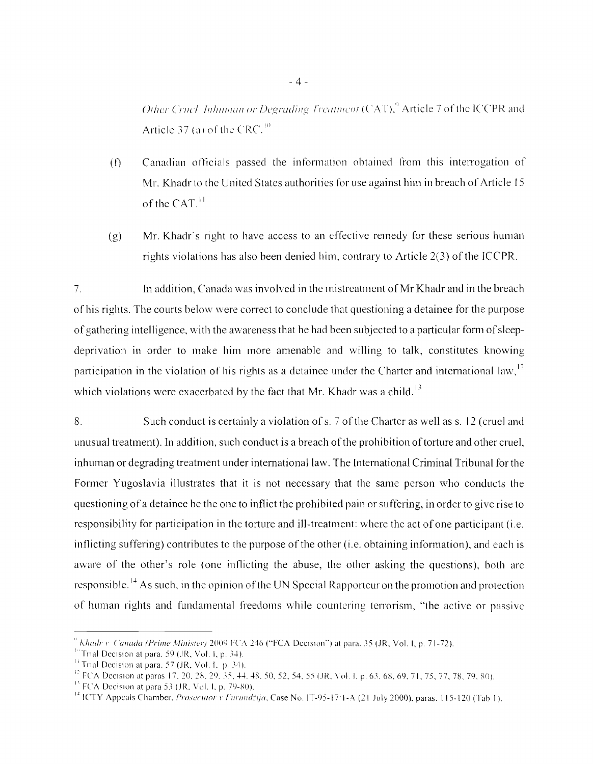Other Cruck Inhuman or Degrading Treatment (CAT),<sup>9</sup> Article 7 of the ICCPR and Article 37 (a) of the CRC.<sup>10</sup>

- Canadian officials passed the information obtained from this interrogation of  $(f)$ Mr. Khadr to the United States authorities for use against him in breach of Article 15 of the  $CAT<sup>11</sup>$
- Mr. Khadr's right to have access to an effective remedy for these serious human  $(g)$ rights violations has also been denied him, contrary to Article 2(3) of the ICCPR.

In addition. Canada was involved in the mistreatment of Mr Khadr and in the breach  $7.$ of his rights. The courts below were correct to conclude that questioning a detainee for the purpose of gathering intelligence, with the awareness that he had been subjected to a particular form of sleepdeprivation in order to make him more amenable and willing to talk, constitutes knowing participation in the violation of his rights as a detainee under the Charter and international law,  $^{12}$ which violations were exacerbated by the fact that Mr. Khadr was a child.<sup>13</sup>

 $8<sub>1</sub>$ Such conduct is certainly a violation of s. 7 of the Charter as well as s. 12 (cruel and unusual treatment). In addition, such conduct is a breach of the prohibition of torture and other cruel, inhuman or degrading treatment under international law. The International Criminal Tribunal for the Former Yugoslavia illustrates that it is not necessary that the same person who conducts the questioning of a detainee be the one to inflict the prohibited pain or suffering, in order to give rise to responsibility for participation in the torture and ill-treatment: where the act of one participant (i.e. inflicting suffering) contributes to the purpose of the other (*i.e.* obtaining information), and each is aware of the other's role (one inflicting the abuse, the other asking the questions), both are responsible.<sup>14</sup> As such, in the opinion of the UN Special Rapporteur on the promotion and protection of human rights and fundamental freedoms while countering terrorism, "the active or passive

Khadr v. Canada (Prime Minister) 2009 FCA 246 ("FCA Decision") at para. 35 (JR, Vol. I, p. 71-72).

<sup>&</sup>lt;sup>10</sup> Trial Decision at para, 59 (JR, Vol. 1, p. 34).

<sup>&</sup>lt;sup>11</sup> Trial Decision at para. 57 (JR, Vol. I, p. 34).

<sup>&</sup>lt;sup>12</sup> FCA Decision at paras 17, 20, 28, 29, 35, 44, 48, 50, 52, 54, 55 (JR, Vol. 1, p. 63, 68, 69, 71, 75, 77, 78, 79, 80).

 $<sup>13</sup>$  FCA Decision at para 53 (JR, Vol. 1, p. 79-80).</sup>

<sup>&</sup>lt;sup>14</sup> ICTY Appeals Chamber, *Prosecutor v Furundžija*, Case No. IT-95-17 1-A (21 July 2000), paras. 115-120 (Tab 1).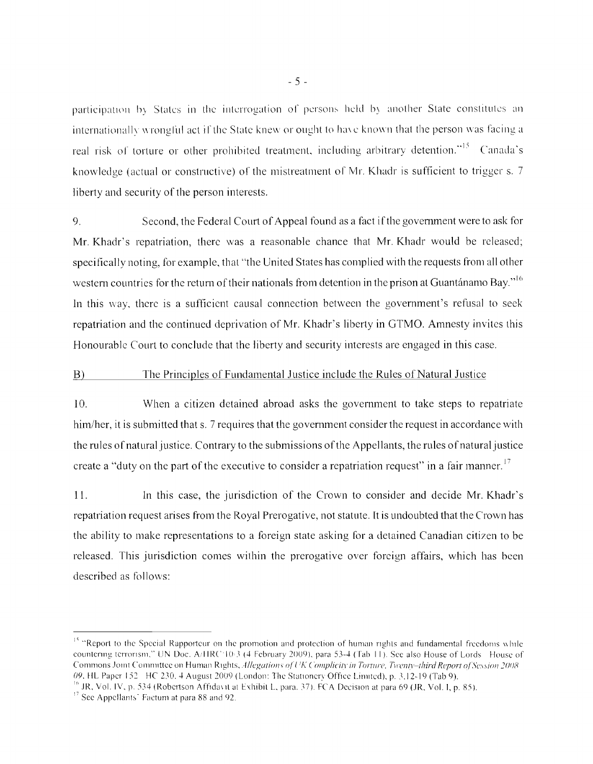participation by States in the interrogation of persons held by another State constitutes an internationally wronglul act if the State knew or ought to have known that the person was facing a real risk of torture or other prohibited treatment, including arbitrary detention."<sup>15</sup> Canada's knowledge (actual or constructive) of the mistreatment of Mr. Khadr is sufficient to trigger s. 7 liberty and security of the person interests.

9. Second, the Federal Court of Appeal found as a fact ifthe government were to ask for Mr. Khadr's repatriation, there was a reasonable chance that Mr. Khadr would be released; specifically noting, for example, that "the United States has complied with the requests from all other western countries for the return of their nationals from detention in the prison at Guantánamo Bay."<sup>16</sup> In this way, there is a sufficient causal connection between the government's refusal to seek repatriation and the continued deprivation of Mr. Khadr's liberty in GTMO. Amnesty invites this Honourable Court to conclude that the liberty and security interests are engaged in this case.

### B) The Principles of Fundamental Justice include the Rules of Natural Justice

10. When a citizen detained abroad asks the govemment to take steps to repatriate him/her, it is submitted that s. 7 requires that the government consider the request in accordance with the rules of natural justice. Contrary to the submissions ofthe Appellants, the rules of natural justice create a "duty on the part of the executive to consider a repatriation request" in a fair manner.<sup>17</sup>

11. In this case, the jurisdiction of the Crown to consider and decide Mr. Khadr's repatriation request arises from the Royal Prerogative, not statute. It is undoubted that the Crown has the ability to make representations to a foreign state asking for a detained Canadian citizen to be released. This jurisdiction comes within the prerogative over foreign affairs, which has been described as follows:

<sup>&</sup>lt;sup>15</sup> "Report to the Special Rapporteur on the promotion and protection of human rights and fundamental freedoms while countering terrorism," UN Doc. A/HRC 10/3 (4 February 2009), para 53-4 (Tab 11). See also House of Lords House of Commons Joint Committee on Human Rights, *Allegations of UK Complicity in Torture*. Twenty-third Report of Session 2008 *09*. HL Paper 152 HC 230. 4 August 2009 (London: The Stationery Office Limited), p. 3.12-19 (Tab 9).

 $^{16}$  JR, Vol. IV, p. 534 (Robertson Affidavit at Exhibit L, para. 37). FCA Decision at para 69 (JR, Vol. 1, p. 85).

<sup>&</sup>lt;sup>17</sup> See Appellants' Factum at para 88 and 92.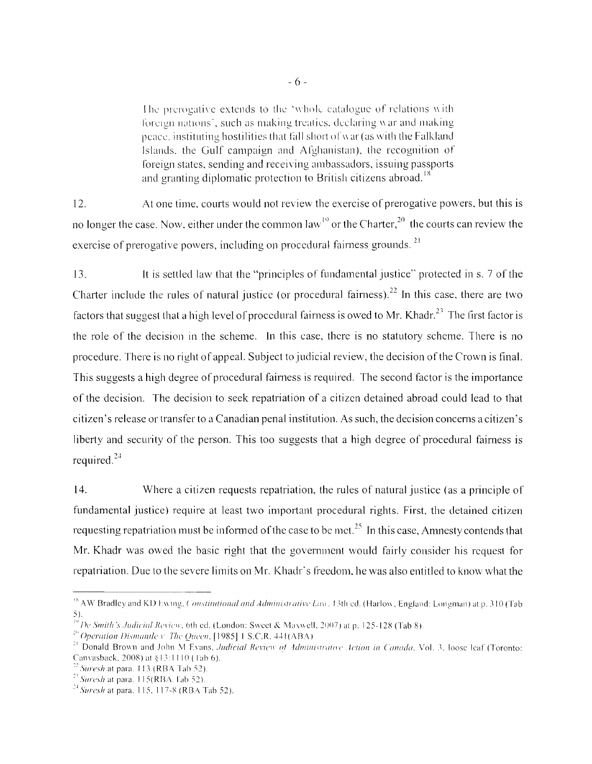The prerogative extends to the 'whole catalogue of relations  $\overline{w}$  ith foreign nations', such as making treaties, declaring  $\hat{w}$  ar and making peace, instituting hostilities that fall short of war (as with the Falkland Islands, the Gulf campaign and Afghanistan), the recognition of foreign states, sending and receiving ambassadors, issuing passports and granting diplomatic protection to British citizens abroad.<sup>18</sup>

12. At one time, courts would not review the exercise of prerogative powers, but this is no longer the case. Now, either under the common  $law<sup>19</sup>$  or the Charter,<sup>20</sup> the courts can review the exercise of prerogative powers, including on procedural fairness grounds. <sup>21</sup>

13, 11 is settled law that the "principles of fundamental justice" protected in s. 7 of the Charter include the rules of natural justice (or procedural fairness).22 **In** this case, there are two factors that suggest that a high level of procedural fairness is owed to Mr. Khadr.<sup>23</sup> The first factor is the role of the decision in the scheme. In this case, there is no statutory scheme. There is no procedure. There is no right of appeal. Subject to judicial review, the decision of the Crown is final. This suggests a high degree of procedural fairness is required. The second factor is the importance of the decision. The decision to seek repatriation of a citizen detained abroad could lead to that citizen's release or transfer to a Canadian penal institution. As such, the decision concerns a citizen's liberty and security of the person. This too suggests that a high degree of procedural fairness is required. <sup>24</sup>

14. Where a citizen requests repatriation, the rules of natural justice (as a principle of fundamental justice) require at least two important procedural rights. First, the detained citizen requesting repatriation must be informed of the case to be met.<sup>25</sup> In this case, Amnesty contends that Mr. Khadr was owed the basic right that the govemment would fairly consider his request for repatriation. Due to the severe limits on Mr. Khadr's freedom, he was also entitled to know what the

 $\rm {}^{18}$  AW Bradley and KD Ewing, Constitutional and Administrative Law. 13th ed. (Harlow, England: Longman) at p. 310 (Tab 5).

<sup>&</sup>lt;sup>1'</sup> *De Smith's Judicial Review*, 6th ed. (London: Sweet & Maxwell, 2007) at p. 125-128 (Tab 8).

 $^{20}$  Operation Dismantle v. The Queen, [1985] I S.C.R. 441(ABA)  $^+$ 

<sup>&</sup>lt;sup>21</sup> Donald Brown and John M Evans, *Judicial Review of Administrative Action in Canada*, Vol. 3, loose leaf (Toronto: Canvasback, 2008) at §13:1110 (Tab 6).

 $^{22}$  Suresh at para. 113 (RBA Tab 52).

 $2^2$  *Suresh* at para. II 5(RBA Tab 52).

 $\degree$  Suresh at para. 115, 117-8 (RBA Tab 52).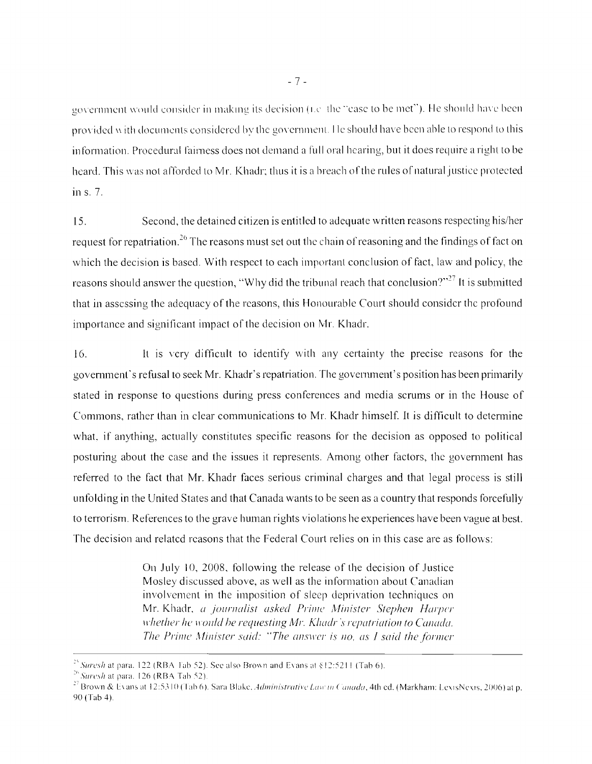government would consider in making its decision (i.e. the "case to be met"). He should have been provided with documents considered by the government. He should have been able to respond to this information. Procedural fairness does not demand a full oral hearing, but it does require a right to be heard. This was not afforded to Mr. Khadr; thus it is a breach of the rules of natural justice protected in s. 7.

15. Second, the detained citizen is entitled to adequate written reasons respecting his/her request for repatriation.<sup>26</sup> The reasons must set out the chain of reasoning and the findings of fact on which the decision is based. With respect to each important conclusion of fact, law and policy, the reasons should answer the question, "Why did the tribunal reach that conclusion?"<sup>27</sup> It is submitted that in assessing the adequacy of the reasons, this Honourable Court should considcr the profound importance and significant impact of the decision on Mr. Khadr.

 $16.$  It is very difficult to identify with any certainty the precise reasons for the govemment's refusal to seek Mr. Khadr's repatriation. The govenunent's position has been primarily stated in response to questions during press conferences and media scrums or in the House of Commons, rather than in clear communications to Mr. Khadr himself. It is difficult to determine what. if anything, actually constitutes specific reasons for the decision as opposed to political posturing about the case and the issues it represents. Among other factors, the govemment has referred to the fact that Mr. Khadr faces serious criminal charges and that legal process is still unfolding in the United States and that Canada wants to be seen as a country that responds forcefully to terrorism. References to the grave human rights violations he experiences have been vague at best. The decision and relatcd reasons that the Federal Court relies on in this case are as follows:

> On July 10, 2008, following the release of the decision of Justice Mosley discussed above, as well as the information about Canadian involvement in the imposition of sleep deprivation techniques on Mr. Khadr, *a journalist asked Prime Minister Stephen Harper III: Whether he would be requesting Mr. Khadr's repatriation to Canada. The Prime Minister said: "The answer is no, as I said the former*

<sup>&</sup>lt;sup>25</sup> Suresh at para. 122 (RBA Fab 52). See also Brown and Evans at  $\S12:5211$  (Tab 6).

 $\frac{26}{3}$ *Suresh* at para. 126 (RBA Tab 52).

<sup>&</sup>lt;sup>27</sup> Brown & Evans at 12:5310 (Tab 6). Sara Blake, Administrative Law in Canada, 4th ed. (Markham: LexisNexis, 2006) at p. 90 (Tab 4).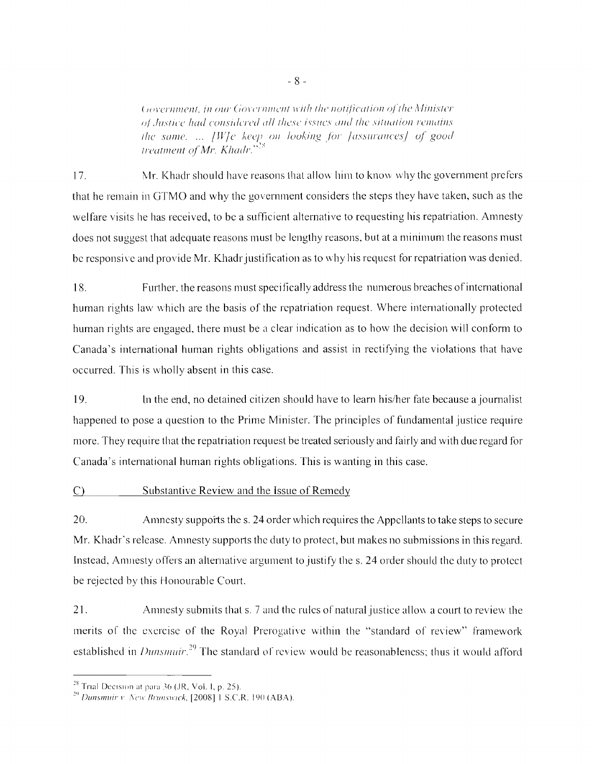Government, in our Government with the notification of the Minister of Justice had considered all these issues and the situation remains the same. ... [W]e keep on looking for [assurances] of good treatment of Mr. Khadr."<sup>23</sup>

 $17<sub>1</sub>$ Mr. Khadr should have reasons that allow him to know why the government prefers that he remain in GTMO and why the government considers the steps they have taken, such as the welfare visits he has received, to be a sufficient alternative to requesting his repatriation. Amnesty does not suggest that adequate reasons must be lengthy reasons, but at a minimum the reasons must be responsive and provide Mr. Khadr justification as to why his request for repatriation was denied.

18. Further, the reasons must specifically address the numerous breaches of international human rights law which are the basis of the repatriation request. Where internationally protected human rights are engaged, there must be a clear indication as to how the decision will conform to Canada's international human rights obligations and assist in rectifying the violations that have occurred. This is wholly absent in this case.

19. In the end, no detained citizen should have to learn his/her fate because a journalist happened to pose a question to the Prime Minister. The principles of fundamental justice require more. They require that the repatriation request be treated seriously and fairly and with due regard for Canada's international human rights obligations. This is wanting in this case.

### Substantive Review and the Issue of Remedy  $\mathcal{C}$

20. Amnesty supports the s. 24 order which requires the Appellants to take steps to secure Mr. Khadr's release. Amnesty supports the duty to protect, but makes no submissions in this regard. Instead, Amnesty offers an alternative argument to justify the s. 24 order should the duty to protect be rejected by this Honourable Court.

 $21$ Amnesty submits that s. 7 and the rules of natural justice allow a court to review the merits of the exercise of the Royal Prerogative within the "standard of review" framework established in *Dunsmuir*.<sup>29</sup> The standard of review would be reasonableness; thus it would afford

<sup>&</sup>lt;sup>28</sup> Trial Decision at para 36 (JR, Vol. I, p. 25).

<sup>&</sup>lt;sup>29</sup> Dunsmuir v. New Brunswick, [2008] 1 S.C.R. 190 (ABA).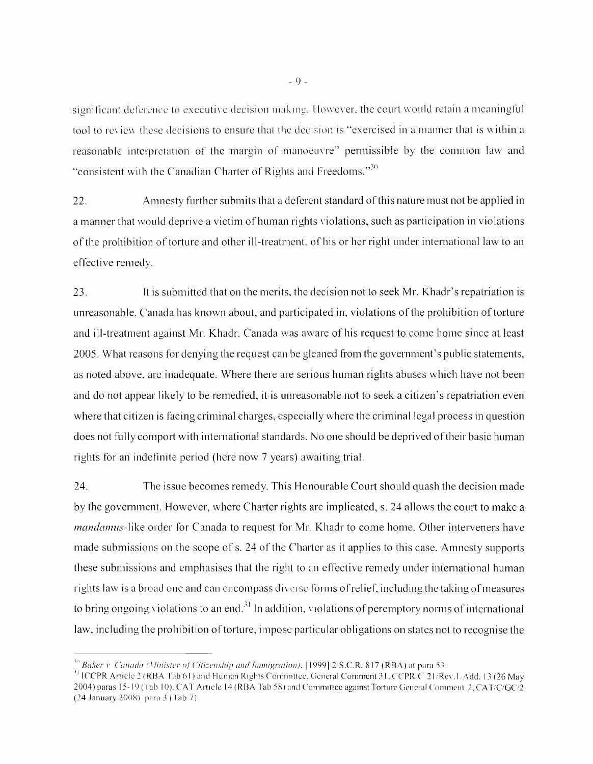significant deference to executive decision making. However, the court would retain a meaningful tool to review these decisions to ensure that the decision is "exercised in a manner that is within a reasonable interpretation of the margin of manoeuvre" permissible by the common law and "consistent with the Canadian Charter of Rights and Freedoms."<sup>30</sup>

Amnesty further submits that a deferent standard of this nature must not be applied in 22. a manner that would deprive a victim of human rights violations, such as participation in violations of the prohibition of torture and other ill-treatment, of his or her right under international law to an effective remedy.

23. It is submitted that on the merits, the decision not to seek Mr. Khadr's repatriation is unreasonable. Canada has known about, and participated in, violations of the prohibition of torture and ill-treatment against Mr. Khadr. Canada was aware of his request to come home since at least 2005. What reasons for denying the request can be gleaned from the government's public statements, as noted above, are inadequate. Where there are serious human rights abuses which have not been and do not appear likely to be remedied, it is unreasonable not to seek a citizen's repatriation even where that citizen is facing criminal charges, especially where the criminal legal process in question does not fully comport with international standards. No one should be deprived of their basic human rights for an indefinite period (here now 7 years) awaiting trial.

24. The issue becomes remedy. This Honourable Court should quash the decision made by the government. However, where Charter rights are implicated, s. 24 allows the court to make a *mandamus*-like order for Canada to request for Mr. Khadr to come home. Other interveners have made submissions on the scope of s. 24 of the Charter as it applies to this case. Amnesty supports these submissions and emphasises that the right to an effective remedy under international human rights law is a broad one and can encompass diverse forms of relief, including the taking of measures to bring ongoing violations to an end.<sup>31</sup> In addition, violations of peremptory norms of international law, including the prohibition of torture, impose particular obligations on states not to recognise the

<sup>&</sup>lt;sup>30</sup> Baker v. Canada (Minister of Citizenship and Immigration), [1999] 2 S.C.R. 817 (RBA) at para 53.

<sup>&</sup>lt;sup>31</sup> ICCPR Article 2 (RBA Tab 61) and Human Rights Committee, General Comment 31, CCPR C 21/Rev. L Add. 13 (26 May 2004) paras 15-19 (1ab 10). CAT Article 14 (RBA Tab 58) and Committee against Torture General Comment 2, CAT/C/GC/2 (24 January 2008) para 3 (Tab 7)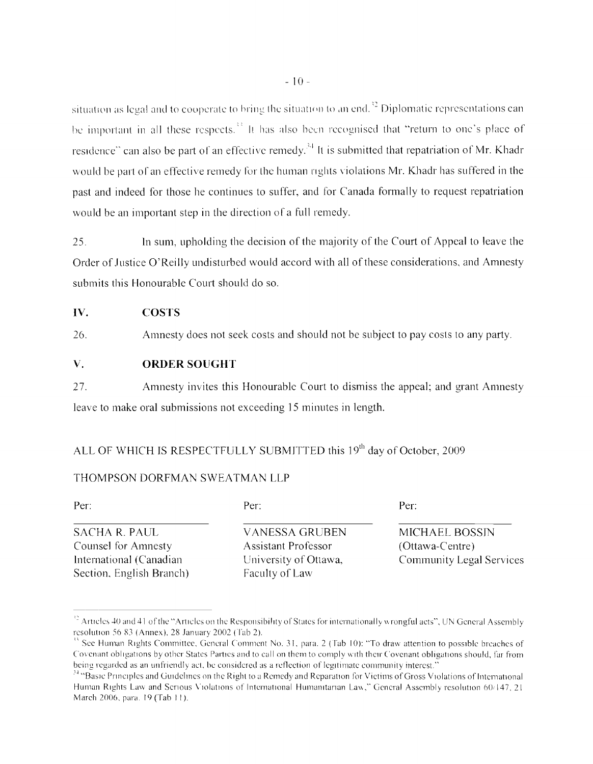situation as legal and to cooperate to bring the situation to an end. $^{32}$  Diplomatic representations can be important in all these respects.<sup>33</sup> It has also been recognised that "return to one's place of residence" can also be part of an effective remedy.<sup>34</sup> It is submitted that repatriation of Mr. Khadr would be part of an effective remedy for the human rights violations Mr. Khadr has suffered in the past and indeed for those he continues to suffer, and for Canada formally to request repatriation would be an important step in the direction of a full remedy.

25. In sum, upholding the decision of the majority of the Court of Appeal to leave the Order of Justice O'Reilly undisturbed would accord with all of these considerations, and Amnesty submits this Honourable Court should do so.

### **COSTS** IV.

Amnesty does not seek costs and should not be subject to pay costs to any party. 26.

### **ORDER SOUGHT** V.

27. Amnesty invites this Honourable Court to dismiss the appeal; and grant Amnesty leave to make oral submissions not exceeding 15 minutes in length.

# ALL OF WHICH IS RESPECTFULLY SUBMITTED this 19<sup>th</sup> day of October, 2009

## THOMPSON DORFMAN SWEATMAN LLP

Per:

**SACHA R. PAUL** Counsel for Amnesty International (Canadian Section, English Branch) Per:

**VANESSA GRUBEN Assistant Professor** University of Ottawa, Faculty of Law

Per:

MICHAEL BOSSIN (Ottawa-Centre) **Community Legal Services** 

<sup>&</sup>lt;sup>32</sup> Articles 40 and 41 of the "Articles on the Responsibility of States for internationally wrongful acts", UN General Assembly resolution 56 83 (Annex), 28 January 2002 (Tab 2).

See Human Rights Committee, General Comment No. 31, para. 2 (Tab 10): "To draw attention to possible breaches of Covenant obligations by other States Parties and to call on them to comply with their Covenant obligations should, far from being regarded as an unfriendly act, be considered as a reflection of legitimate community interest."

<sup>&</sup>lt;sup>34</sup> "Basic Principles and Guidelines on the Right to a Remedy and Reparation for Victims of Gross Violations of International Human Rights Law and Serious Violations of International Humanitarian Law," General Assembly resolution 60/147, 21 March 2006, para. 19 (Tab 11).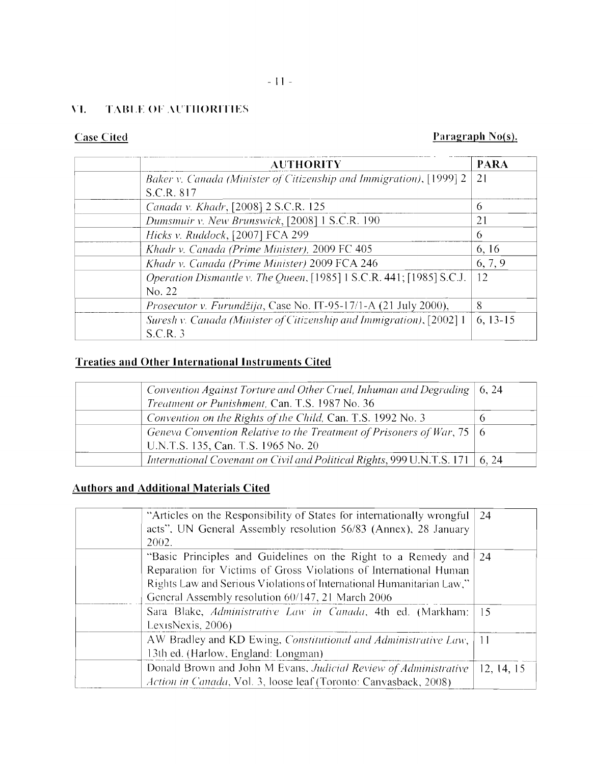# **\"I. TABLE or .\t'TIIORITIES**

# **Case Cited Paragraph No(s).** Paragraph No(s).

| <b>AUTHORITY</b>                                                                | <b>PARA</b> |
|---------------------------------------------------------------------------------|-------------|
| Baker v. Canada (Minister of Citizenship and Immigration), [1999] 2             | 21          |
| S.C.R. 817                                                                      |             |
| Canada v. Khadr, [2008] 2 S.C.R. 125                                            | 6           |
| Dumsmuir v. New Brunswick, [2008] 1 S.C.R. 190                                  | 21          |
| Hicks v. Ruddock, [2007] FCA 299                                                | 6           |
| Khadr v. Canada (Prime Minister), 2009 FC 405                                   | 6, 16       |
| Khadr v. Canada (Prime Minister) 2009 FCA 246                                   | 6, 7, 9     |
| Operation Dismantle v. The Queen, [1985] 1 S.C.R. 441; [1985] S.C.J.<br>No. 22  | 12          |
| <i>Prosecutor v. Furundžija</i> , Case No. IT-95-17/1-A (21 July 2000),         | 8           |
| Suresh v. Canada (Minister of Citizenship and Immigration), [2002] 1<br>S.C.R.3 | $6, 13-15$  |

# **Treaties and Other International Instruments Cited**

| Convention Against Torture and Other Cruel, Inhuman and Degrading $\vert 6, 24 \vert$ |  |
|---------------------------------------------------------------------------------------|--|
| Treatment or Punishment, Can. T.S. 1987 No. 36                                        |  |
| Convention on the Rights of the Child, Can. T.S. 1992 No. 3                           |  |
| Geneva Convention Relative to the Treatment of Prisoners of War, 75   6               |  |
| U.N.T.S. 135, Can. T.S. 1965 No. 20                                                   |  |
| International Covenant on Civil and Political Rights, 999 U.N.T.S. 171   6, 24        |  |

# **Authors and Additional Materials Cited**

| "Articles on the Responsibility of States for internationally wrongful<br>acts", UN General Assembly resolution 56/83 (Annex), 28 January<br>2002.                                                                                                               | 24         |
|------------------------------------------------------------------------------------------------------------------------------------------------------------------------------------------------------------------------------------------------------------------|------------|
| "Basic Principles and Guidelines on the Right to a Remedy and<br>Reparation for Victims of Gross Violations of International Human<br>Rights Law and Serious Violations of International Humanitarian Law,"<br>General Assembly resolution 60/147, 21 March 2006 | 24         |
| Sara Blake, Administrative Law in Canada, 4th ed. (Markham:<br>LexisNexis, $2006$ )                                                                                                                                                                              | -15        |
| AW Bradley and KD Ewing, Constitutional and Administrative Law,<br>13th ed. (Harlow, England: Longman)                                                                                                                                                           | -11        |
| Donald Brown and John M Evans, Judicial Review of Administrative<br>Action in Canada, Vol. 3, loose leaf (Toronto: Canvasback, 2008).                                                                                                                            | 12, 14, 15 |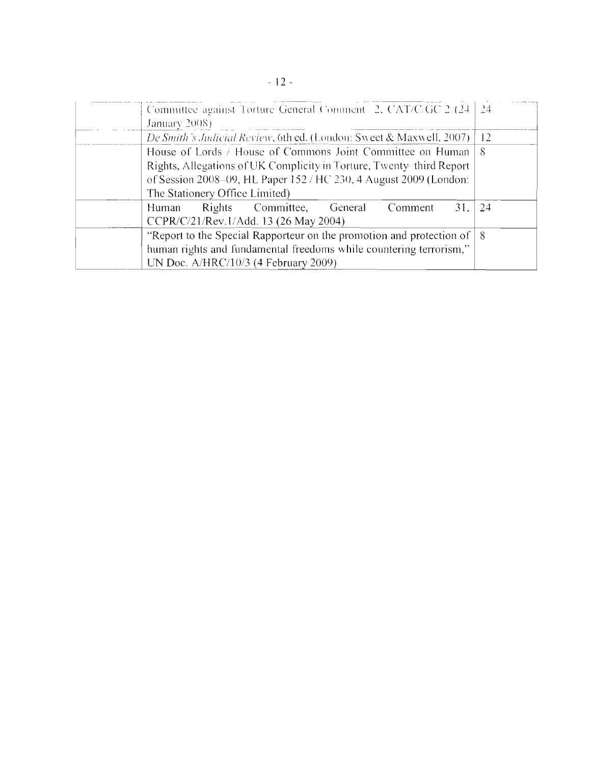|  | Committee against Torture General Comment 2, CAT/C/GC 2 (24 24                                                                                  |     |  |  |
|--|-------------------------------------------------------------------------------------------------------------------------------------------------|-----|--|--|
|  | January 2008)                                                                                                                                   |     |  |  |
|  | De Smith's Judicial Review, 6th ed. (London: Sweet & Maxwell, 2007).<br>-12<br>House of Lords / House of Commons Joint Committee on Human<br>-8 |     |  |  |
|  |                                                                                                                                                 |     |  |  |
|  | Rights, Allegations of UK Complicity in Torture, Twenty-third Report                                                                            |     |  |  |
|  | of Session 2008-09, HL Paper 152 / HC 230, 4 August 2009 (London:                                                                               |     |  |  |
|  | The Stationery Office Limited)                                                                                                                  |     |  |  |
|  | Rights Committee,<br>General<br>31.<br>Human<br>Comment                                                                                         | -24 |  |  |
|  | CCPR/C/21/Rev.1/Add. 13 (26 May 2004)                                                                                                           |     |  |  |
|  | "Report to the Special Rapporteur on the promotion and protection of $\vert 8 \rangle$                                                          |     |  |  |
|  | human rights and fundamental freedoms while countering terrorism,"                                                                              |     |  |  |
|  | UN Doc. A/HRC/10/3 (4 February 2009)                                                                                                            |     |  |  |